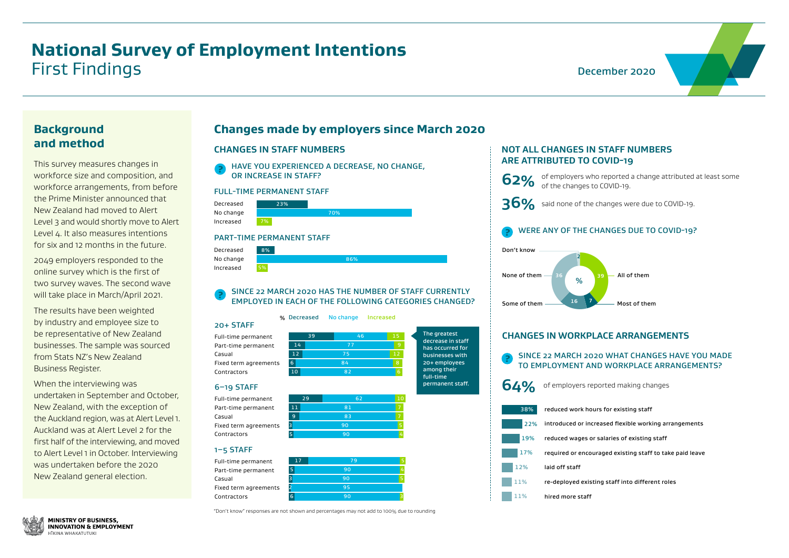#### **Background and method**

This survey measures changes in workforce size and composition, and workforce arrangements, from before the Prime Minister announced that New Zealand had moved to Alert Level 3 and would shortly move to Alert Level 4. It also measures intentions for six and 12 months in the future.

2049 employers responded to the online survey which is the first of two survey waves. The second wave will take place in March/April 2021.

The results have been weighted by industry and employee size to be representative of New Zealand businesses. The sample was sourced from Stats NZ's New Zealand Business Register.

When the interviewing was undertaken in September and October, New Zealand, with the exception of the Auckland region, was at Alert Level 1. Auckland was at Alert Level 2 for the first half of the interviewing, and moved to Alert Level 1 in October. Interviewing was undertaken before the 2020 New Zealand general election.

The greatest decrease in staff has occurred for businesses with 20+ employees among their full-time permanent staff.

Full-time perman Part-time perma Casual Fixed term agree Contractors

"Don't know" responses are not shown and percentages may not add to 100% due to rounding

#### 20+ STAFF

Full-time permanent Part-time permanent Casual Fixed term agreements Contractors

#### FULL-TIME PERMANENT STAFF

#### PART-TIME PERMANENT STAFF



Decreased No change Increased





#### 6–19 STAFF

Full-time permanent Part-time permanent Casual Fixed term agreements Contractors

|                | <b>NOT ALL CHANGES IN STA</b><br><b>ARE ATTRIBUTED TO COVI</b> |
|----------------|----------------------------------------------------------------|
| 62%            | of employers who rep<br>of the changes to COV                  |
|                | 36% said none of the chang                                     |
|                | <b>WERE ANY OF THE CHAN</b>                                    |
| Don't know     | $\overline{2}$                                                 |
| None of them   | 36<br>39<br>%                                                  |
| Some of them - | 16<br>$\overline{7}$                                           |
|                |                                                                |
|                | <b>CHANGES IN WORKPLACE</b>                                    |
|                | SINCE 22 MARCH 2020 W<br><b>TO EMPLOYMENT AND W</b>            |
|                | 64% of employers reported                                      |
|                | 38% reduced work hours for                                     |
|                | 22% introduced or increased                                    |
|                | 19% reduced wages or salari                                    |
| 17%            | required or encouraged                                         |
| 12%            | laid off staff                                                 |
| 11%            | re-deployed existing sta                                       |





#### 1–5 STAFF

### **Changes made by employers since March 2020**

#### **CHANGES IN STAFF NUMBERS NOT ALL CHANGES IN STAFF NUMBERS**

#### **?** SINCE 22 MARCH 2020 HAS THE NUMBER OF STAFF CURRENTLY EMPLOYED IN EACH OF THE FOLLOWING CATEGORIES CHANGED?

**?** HAVE YOU EXPERIENCED A DECREASE, NO CHANGE, OR INCREASE IN STAFF?

| าent   | 17 | 79 | 5 |
|--------|----|----|---|
| nent   | 5. | 90 | 4 |
|        | ٦  | 90 |   |
| ments! |    | 95 |   |
|        | 6  | 90 |   |
|        |    |    |   |



#### **ACE ARRANGEMENTS**

#### **20 WHAT CHANGES HAVE YOU MADE** D WORKPLACE ARRANGEMENTS?

 $b$  orted making changes

irs for existing staff

reased flexible working arrangements

salaries of existing staff

raged existing staff to take paid leave

ing staff into different roles



# **ADDED TO COVER**

o reported a change attributed at least some  $CovID-19.$ 

changes were due to COVID-19.

#### **PANGES DUE TO COVID-19?**

## **National Survey of Employment Intentions** First Findings